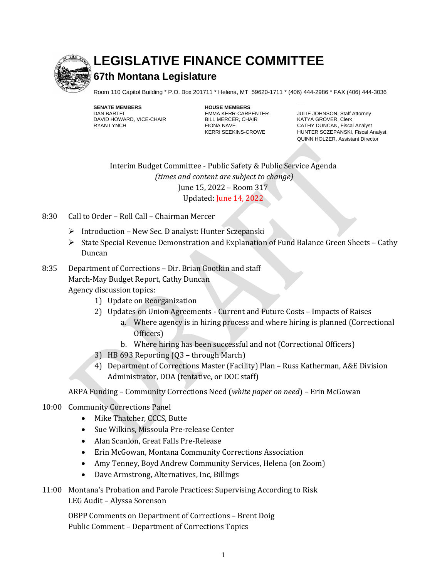

## **LEGISLATIVE FINANCE COMMITTEE**

## **67th Montana Legislature**

Room 110 Capitol Building \* P.O. Box 201711 \* Helena, MT 59620-1711 \* (406) 444-2986 \* FAX (406) 444-3036

**SENATE MEMBERS HOUSE MEMBERS** DAVID HOWARD, VICE-CHAIR

EMMA KERR-CARPENTER JULIE JOHNSON, Staff Attorney<br>BILL MERCER, CHAIR KATYA GROVER, Clerk RYAN LYNCH FIONA NAVE CATHY DUNCAN, Fiscal Analyst CATHY DUNCAN, Fiscal Analyst KERRI SEEKINS-CROWE HUNTER SCZEPANSKI, Fiscal Analyst QUINN HOLZER, Assistant Director

Staff

Interim Budget Committee - Public Safety & Public Service Agenda *(times and content are subject to change)* June 15, 2022 – Room 317 Updated: June 14, 2022

- 8:30 Call to Order Roll Call Chairman Mercer
	- ➢ Introduction New Sec. D analyst: Hunter Sczepanski
	- ➢ State Special Revenue Demonstration and Explanation of Fund Balance Green Sheets Cathy Duncan

## 8:35 Department of Corrections – Dir. Brian Gootkin and staff March-May Budget Report, Cathy Duncan Agency discussion topics:

- 1) Update on Reorganization
- 2) Updates on Union Agreements Current and Future Costs Impacts of Raises
	- a. Where agency is in hiring process and where hiring is planned (Correctional Officers)
		- b. Where hiring has been successful and not (Correctional Officers)
- 3) HB 693 Reporting (Q3 through March)
- 4) Department of Corrections Master (Facility) Plan Russ Katherman, A&E Division Administrator, DOA (tentative, or DOC staff)

ARPA Funding – Community Corrections Need (*white paper on need*) – Erin McGowan

## 10:00 Community Corrections Panel

- Mike Thatcher, CCCS, Butte
- Sue Wilkins, Missoula Pre-release Center
- Alan Scanlon, Great Falls Pre-Release
- Erin McGowan, Montana Community Corrections Association
- Amy Tenney, Boyd Andrew Community Services, Helena (on Zoom)
- Dave Armstrong, Alternatives, Inc, Billings
- 11:00 Montana's Probation and Parole Practices: Supervising According to Risk LEG Audit – Alyssa Sorenson

OBPP Comments on Department of Corrections – Brent Doig Public Comment – Department of Corrections Topics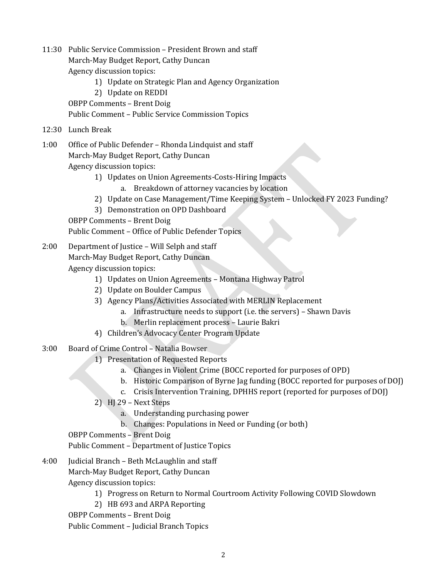11:30 Public Service Commission – President Brown and staff March-May Budget Report, Cathy Duncan Agency discussion topics: 1) Update on Strategic Plan and Agency Organization 2) Update on REDDI OBPP Comments – Brent Doig Public Comment – Public Service Commission Topics 12:30 Lunch Break 1:00 Office of Public Defender – Rhonda Lindquist and staff March-May Budget Report, Cathy Duncan Agency discussion topics: 1) Updates on Union Agreements-Costs-Hiring Impacts a. Breakdown of attorney vacancies by location 2) Update on Case Management/Time Keeping System – Unlocked FY 2023 Funding? 3) Demonstration on OPD Dashboard OBPP Comments – Brent Doig Public Comment – Office of Public Defender Topics 2:00 Department of Justice – Will Selph and staff March-May Budget Report, Cathy Duncan Agency discussion topics: 1) Updates on Union Agreements – Montana Highway Patrol 2) Update on Boulder Campus 3) Agency Plans/Activities Associated with MERLIN Replacement a. Infrastructure needs to support (i.e. the servers) – Shawn Davis b. Merlin replacement process – Laurie Bakri 4) Children's Advocacy Center Program Update 3:00 Board of Crime Control – Natalia Bowser 1) Presentation of Requested Reports a. Changes in Violent Crime (BOCC reported for purposes of OPD) b. Historic Comparison of Byrne Jag funding (BOCC reported for purposes of DOJ) c. Crisis Intervention Training, DPHHS report (reported for purposes of DOJ) 2) HJ 29 – Next Steps a. Understanding purchasing power b. Changes: Populations in Need or Funding (or both) OBPP Comments – Brent Doig Public Comment – Department of Justice Topics 4:00 Judicial Branch – Beth McLaughlin and staff March-May Budget Report, Cathy Duncan Agency discussion topics: 1) Progress on Return to Normal Courtroom Activity Following COVID Slowdown 2) HB 693 and ARPA Reporting OBPP Comments – Brent Doig

Public Comment – Judicial Branch Topics